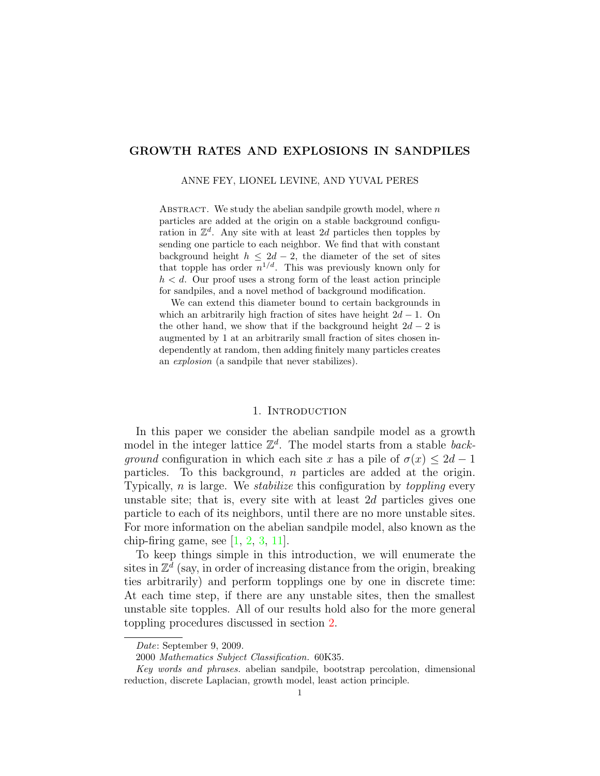## GROWTH RATES AND EXPLOSIONS IN SANDPILES

ANNE FEY, LIONEL LEVINE, AND YUVAL PERES

ABSTRACT. We study the abelian sandpile growth model, where  $n$ particles are added at the origin on a stable background configuration in  $\mathbb{Z}^d$ . Any site with at least 2d particles then topples by sending one particle to each neighbor. We find that with constant background height  $h \leq 2d - 2$ , the diameter of the set of sites that topple has order  $n^{1/d}$ . This was previously known only for  $h < d$ . Our proof uses a strong form of the least action principle for sandpiles, and a novel method of background modification.

We can extend this diameter bound to certain backgrounds in which an arbitrarily high fraction of sites have height  $2d - 1$ . On the other hand, we show that if the background height  $2d - 2$  is augmented by 1 at an arbitrarily small fraction of sites chosen independently at random, then adding finitely many particles creates an explosion (a sandpile that never stabilizes).

#### 1. INTRODUCTION

In this paper we consider the abelian sandpile model as a growth model in the integer lattice  $\mathbb{Z}^d$ . The model starts from a stable back*ground* configuration in which each site x has a pile of  $\sigma(x) \leq 2d - 1$ particles. To this background, n particles are added at the origin. Typically,  $n$  is large. We *stabilize* this configuration by *toppling* every unstable site; that is, every site with at least 2d particles gives one particle to each of its neighbors, until there are no more unstable sites. For more information on the abelian sandpile model, also known as the chip-firing game, see  $[1, 2, 3, 11]$  $[1, 2, 3, 11]$  $[1, 2, 3, 11]$  $[1, 2, 3, 11]$  $[1, 2, 3, 11]$  $[1, 2, 3, 11]$  $[1, 2, 3, 11]$ .

To keep things simple in this introduction, we will enumerate the sites in  $\mathbb{Z}^{\bar{d}}$  (say, in order of increasing distance from the origin, breaking ties arbitrarily) and perform topplings one by one in discrete time: At each time step, if there are any unstable sites, then the smallest unstable site topples. All of our results hold also for the more general toppling procedures discussed in section [2.](#page-4-0)

Date: September 9, 2009.

<sup>2000</sup> Mathematics Subject Classification. 60K35.

Key words and phrases. abelian sandpile, bootstrap percolation, dimensional reduction, discrete Laplacian, growth model, least action principle.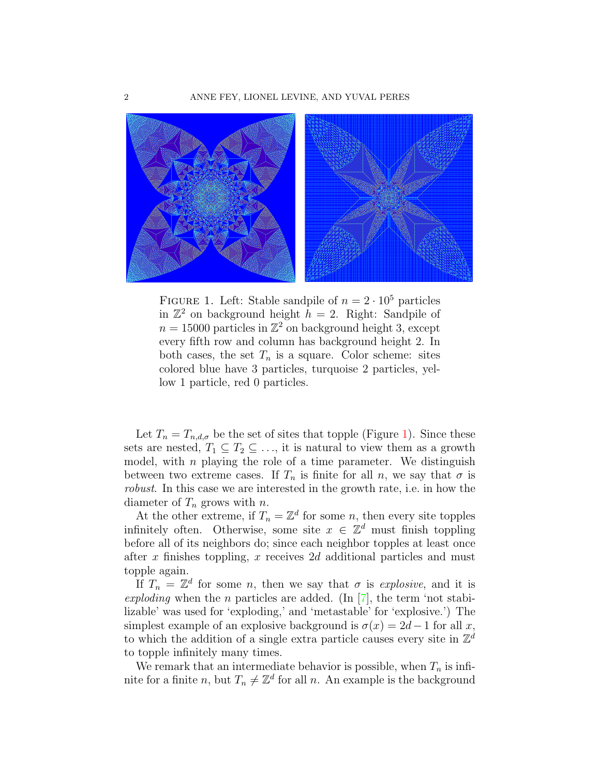

<span id="page-1-0"></span>FIGURE 1. Left: Stable sandpile of  $n = 2 \cdot 10^5$  particles in  $\mathbb{Z}^2$  on background height  $h = 2$ . Right: Sandpile of  $n = 15000$  particles in  $\mathbb{Z}^2$  on background height 3, except every fifth row and column has background height 2. In both cases, the set  $T_n$  is a square. Color scheme: sites colored blue have 3 particles, turquoise 2 particles, yellow 1 particle, red 0 particles.

Let  $T_n = T_{n,d,\sigma}$  be the set of sites that topple (Figure [1\)](#page-1-0). Since these sets are nested,  $T_1 \subseteq T_2 \subseteq \ldots$ , it is natural to view them as a growth model, with  $n$  playing the role of a time parameter. We distinguish between two extreme cases. If  $T_n$  is finite for all n, we say that  $\sigma$  is robust. In this case we are interested in the growth rate, i.e. in how the diameter of  $T_n$  grows with n.

At the other extreme, if  $T_n = \mathbb{Z}^d$  for some n, then every site topples infinitely often. Otherwise, some site  $x \in \mathbb{Z}^d$  must finish toppling before all of its neighbors do; since each neighbor topples at least once after x finishes toppling, x receives 2d additional particles and must topple again.

If  $T_n = \mathbb{Z}^d$  for some n, then we say that  $\sigma$  is explosive, and it is exploding when the n particles are added. (In  $[7]$ , the term 'not stabilizable' was used for 'exploding,' and 'metastable' for 'explosive.') The simplest example of an explosive background is  $\sigma(x) = 2d-1$  for all x, to which the addition of a single extra particle causes every site in  $\mathbb{Z}^d$ to topple infinitely many times.

We remark that an intermediate behavior is possible, when  $T_n$  is infinite for a finite n, but  $T_n \neq \mathbb{Z}^d$  for all n. An example is the background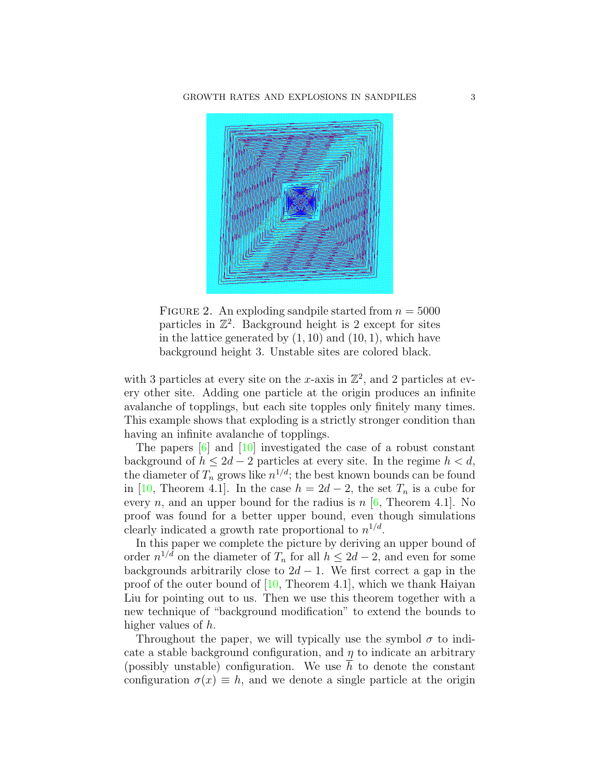

<span id="page-2-0"></span>FIGURE 2. An exploding sandpile started from  $n = 5000$ particles in  $\mathbb{Z}^2$ . Background height is 2 except for sites in the lattice generated by  $(1, 10)$  and  $(10, 1)$ , which have background height 3. Unstable sites are colored black.

with 3 particles at every site on the x-axis in  $\mathbb{Z}^2$ , and 2 particles at every other site. Adding one particle at the origin produces an infinite avalanche of topplings, but each site topples only finitely many times. This example shows that exploding is a strictly stronger condition than having an infinite avalanche of topplings.

The papers [\[6\]](#page-18-5) and [\[10\]](#page-18-6) investigated the case of a robust constant background of  $h \leq 2d - 2$  particles at every site. In the regime  $h < d$ , the diameter of  $T_n$  grows like  $n^{1/d}$ ; the best known bounds can be found in [\[10,](#page-18-6) Theorem 4.1]. In the case  $h = 2d - 2$ , the set  $T_n$  is a cube for every *n*, and an upper bound for the radius is  $n$  [\[6,](#page-18-5) Theorem 4.1]. No proof was found for a better upper bound, even though simulations clearly indicated a growth rate proportional to  $n^{1/d}$ .

In this paper we complete the picture by deriving an upper bound of order  $n^{1/d}$  on the diameter of  $T_n$  for all  $h \leq 2d-2$ , and even for some backgrounds arbitrarily close to  $2d - 1$ . We first correct a gap in the proof of the outer bound of [\[10,](#page-18-6) Theorem 4.1], which we thank Haiyan Liu for pointing out to us. Then we use this theorem together with a new technique of "background modification" to extend the bounds to higher values of h.

Throughout the paper, we will typically use the symbol  $\sigma$  to indicate a stable background configuration, and  $\eta$  to indicate an arbitrary (possibly unstable) configuration. We use  $h$  to denote the constant configuration  $\sigma(x) \equiv h$ , and we denote a single particle at the origin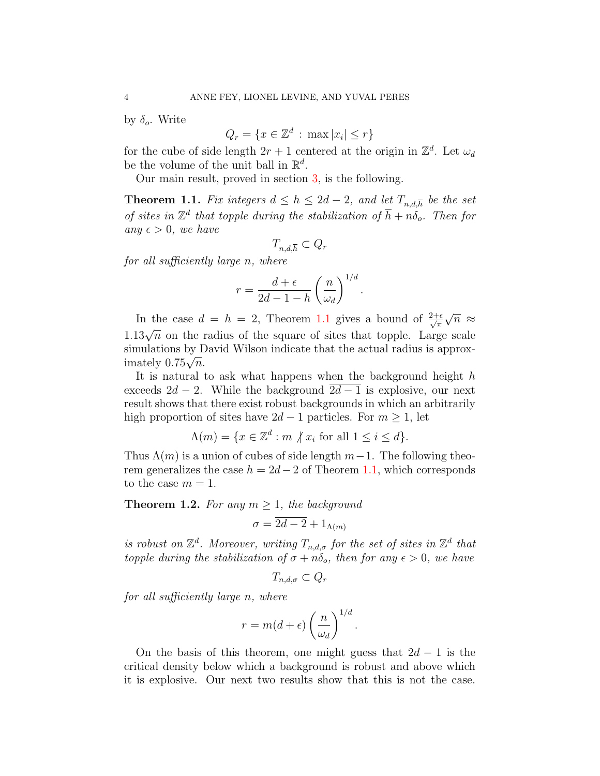by  $\delta_o$ . Write

$$
Q_r = \{ x \in \mathbb{Z}^d \, : \, \max |x_i| \le r \}
$$

for the cube of side length  $2r + 1$  centered at the origin in  $\mathbb{Z}^d$ . Let  $\omega_d$ be the volume of the unit ball in  $\mathbb{R}^d$ .

Our main result, proved in section [3,](#page-8-0) is the following.

<span id="page-3-0"></span>**Theorem 1.1.** Fix integers  $d \leq h \leq 2d - 2$ , and let  $T_{n,d,\overline{h}}$  be the set of sites in  $\mathbb{Z}^d$  that topple during the stabilization of  $\overline{h} + n\delta_o$ . Then for any  $\epsilon > 0$ , we have

$$
T_{n,d,\overline{h}} \subset Q_r
$$

for all sufficiently large n, where

$$
r = \frac{d+\epsilon}{2d-1-h} \left(\frac{n}{\omega_d}\right)^{1/d}
$$

.

In the case  $d = h = 2$ , Theorem [1.1](#page-3-0) gives a bound of  $\frac{2+\epsilon}{\sqrt{\pi}}$ √  $\overline{n}~\approx$ 1.13 $\sqrt{n}$  on the radius of the square of sites that topple. Large scale simulations by David Wilson indicate that the actual radius is approxsimulations by L<br>imately  $0.75\sqrt{n}$ .

It is natural to ask what happens when the background height  $h$ exceeds  $2d - 2$ . While the background  $2d - 1$  is explosive, our next result shows that there exist robust backgrounds in which an arbitrarily high proportion of sites have  $2d - 1$  particles. For  $m \geq 1$ , let

$$
\Lambda(m) = \{ x \in \mathbb{Z}^d : m \nmid x_i \text{ for all } 1 \le i \le d \}.
$$

Thus  $\Lambda(m)$  is a union of cubes of side length  $m-1$ . The following theorem generalizes the case  $h = 2d - 2$  of Theorem [1.1,](#page-3-0) which corresponds to the case  $m = 1$ .

<span id="page-3-1"></span>**Theorem 1.2.** For any  $m \geq 1$ , the background

$$
\sigma = \overline{2d - 2} + 1_{\Lambda(m)}
$$

is robust on  $\mathbb{Z}^d$ . Moreover, writing  $T_{n,d,\sigma}$  for the set of sites in  $\mathbb{Z}^d$  that topple during the stabilization of  $\sigma + n\delta_o$ , then for any  $\epsilon > 0$ , we have

$$
T_{n,d,\sigma}\subset Q_r
$$

for all sufficiently large n, where

$$
r = m(d + \epsilon) \left(\frac{n}{\omega_d}\right)^{1/d}.
$$

On the basis of this theorem, one might guess that  $2d-1$  is the critical density below which a background is robust and above which it is explosive. Our next two results show that this is not the case.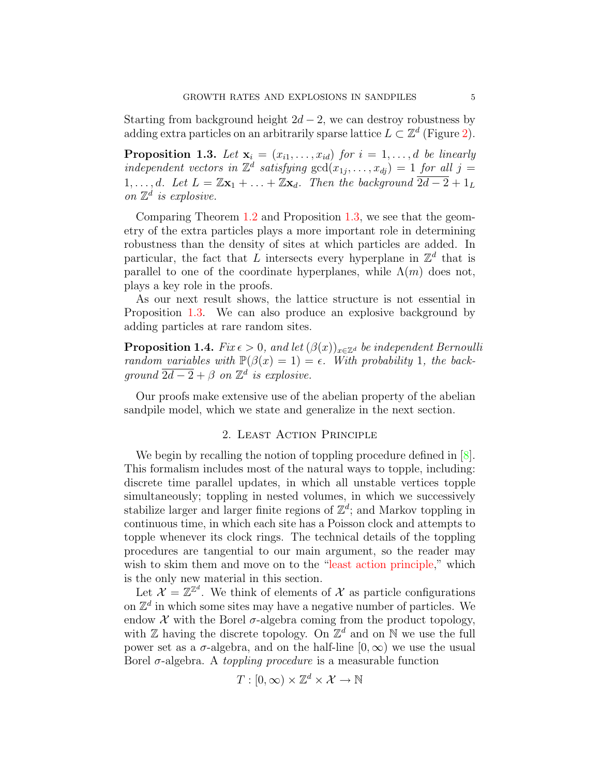Starting from background height  $2d - 2$ , we can destroy robustness by adding extra particles on an arbitrarily sparse lattice  $L \subset \mathbb{Z}^d$  (Figure [2\)](#page-2-0).

<span id="page-4-1"></span>**Proposition 1.3.** Let  $\mathbf{x}_i = (x_{i1}, \ldots, x_{id})$  for  $i = 1, \ldots, d$  be linearly independent vectors in  $\mathbb{Z}^d$  satisfying  $gcd(x_{1j},...,x_{dj}) = 1$  for all  $j =$ 1, ..., d. Let  $L = \mathbb{Z}x_1 + ... + \mathbb{Z}x_d$ . Then the background  $\overline{2d-2} + 1_L$ on  $\mathbb{Z}^d$  is explosive.

Comparing Theorem [1.2](#page-3-1) and Proposition [1.3,](#page-4-1) we see that the geometry of the extra particles plays a more important role in determining robustness than the density of sites at which particles are added. In particular, the fact that L intersects every hyperplane in  $\mathbb{Z}^d$  that is parallel to one of the coordinate hyperplanes, while  $\Lambda(m)$  does not, plays a key role in the proofs.

As our next result shows, the lattice structure is not essential in Proposition [1.3.](#page-4-1) We can also produce an explosive background by adding particles at rare random sites.

<span id="page-4-2"></span>**Proposition 1.4.** Fix  $\epsilon > 0$ , and let  $(\beta(x))_{x \in \mathbb{Z}^d}$  be independent Bernoulli random variables with  $\mathbb{P}(\beta(x) = 1) = \epsilon$ . With probability 1, the background  $\overline{2d-2} + \beta$  on  $\mathbb{Z}^d$  is explosive.

Our proofs make extensive use of the abelian property of the abelian sandpile model, which we state and generalize in the next section.

### 2. Least Action Principle

<span id="page-4-0"></span>We begin by recalling the notion of toppling procedure defined in  $[8]$ . This formalism includes most of the natural ways to topple, including: discrete time parallel updates, in which all unstable vertices topple simultaneously; toppling in nested volumes, in which we successively stabilize larger and larger finite regions of  $\mathbb{Z}^d$ ; and Markov toppling in continuous time, in which each site has a Poisson clock and attempts to topple whenever its clock rings. The technical details of the toppling procedures are tangential to our main argument, so the reader may wish to skim them and move on to the ["least action principle,](#page-7-0)" which is the only new material in this section.

Let  $\mathcal{X} = \mathbb{Z}^{\mathbb{Z}^d}$ . We think of elements of  $\mathcal{X}$  as particle configurations on  $\mathbb{Z}^d$  in which some sites may have a negative number of particles. We endow  $X$  with the Borel  $\sigma$ -algebra coming from the product topology, with  $\mathbb Z$  having the discrete topology. On  $\mathbb Z^d$  and on  $\mathbb N$  we use the full power set as a  $\sigma$ -algebra, and on the half-line  $[0,\infty)$  we use the usual Borel  $\sigma$ -algebra. A *toppling procedure* is a measurable function

$$
T : [0, \infty) \times \mathbb{Z}^d \times \mathcal{X} \to \mathbb{N}
$$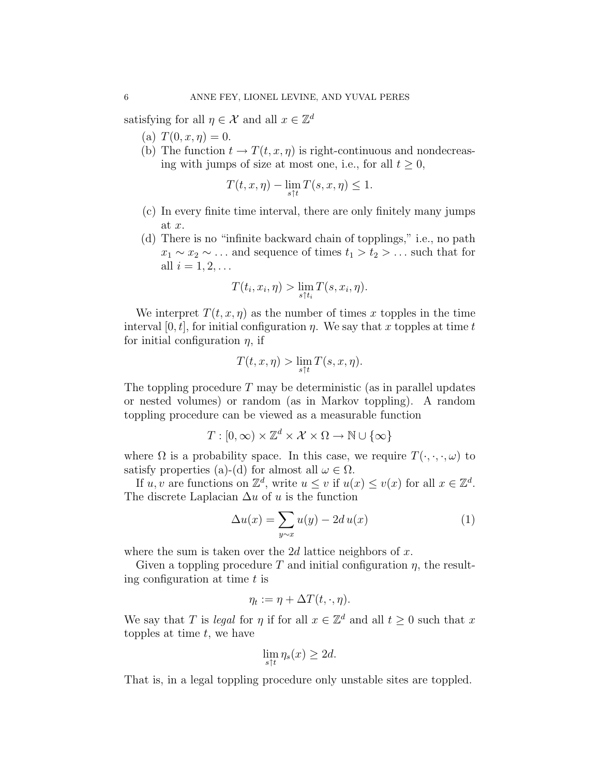satisfying for all  $\eta \in \mathcal{X}$  and all  $x \in \mathbb{Z}^d$ 

- (a)  $T(0, x, \eta) = 0$ .
- (b) The function  $t \to T(t, x, \eta)$  is right-continuous and nondecreasing with jumps of size at most one, i.e., for all  $t \geq 0$ ,

$$
T(t, x, \eta) - \lim_{s \uparrow t} T(s, x, \eta) \le 1.
$$

- (c) In every finite time interval, there are only finitely many jumps at x.
- (d) There is no "infinite backward chain of topplings," i.e., no path  $x_1 \sim x_2 \sim \ldots$  and sequence of times  $t_1 > t_2 > \ldots$  such that for all  $i = 1, 2, \ldots$

$$
T(t_i, x_i, \eta) > \lim_{s \uparrow t_i} T(s, x_i, \eta).
$$

We interpret  $T(t, x, \eta)$  as the number of times x topples in the time interval [0, t], for initial configuration  $\eta$ . We say that x topples at time t for initial configuration  $\eta$ , if

$$
T(t,x,\eta)>\lim_{s\uparrow t}T(s,x,\eta).
$$

The toppling procedure  $T$  may be deterministic (as in parallel updates or nested volumes) or random (as in Markov toppling). A random toppling procedure can be viewed as a measurable function

$$
T: [0, \infty) \times \mathbb{Z}^d \times \mathcal{X} \times \Omega \to \mathbb{N} \cup \{\infty\}
$$

where  $\Omega$  is a probability space. In this case, we require  $T(\cdot, \cdot, \cdot, \omega)$  to satisfy properties (a)-(d) for almost all  $\omega \in \Omega$ .

If  $u, v$  are functions on  $\mathbb{Z}^d$ , write  $u \leq v$  if  $u(x) \leq v(x)$  for all  $x \in \mathbb{Z}^d$ . The discrete Laplacian  $\Delta u$  of u is the function

<span id="page-5-0"></span>
$$
\Delta u(x) = \sum_{y \sim x} u(y) - 2d u(x) \tag{1}
$$

where the sum is taken over the 2d lattice neighbors of  $x$ .

Given a toppling procedure T and initial configuration  $\eta$ , the resulting configuration at time  $t$  is

$$
\eta_t := \eta + \Delta T(t,\cdot,\eta).
$$

We say that T is *legal* for  $\eta$  if for all  $x \in \mathbb{Z}^d$  and all  $t \geq 0$  such that x topples at time  $t$ , we have

$$
\lim_{s \uparrow t} \eta_s(x) \ge 2d.
$$

That is, in a legal toppling procedure only unstable sites are toppled.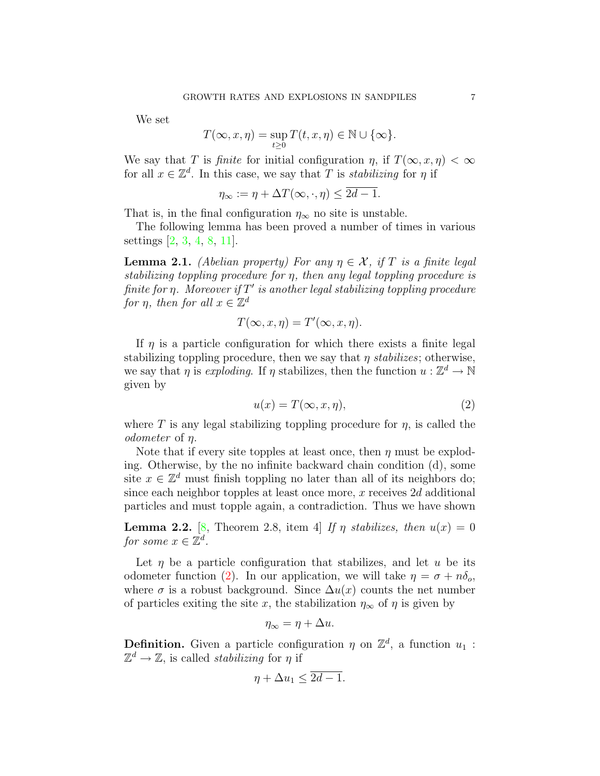We set

$$
T(\infty, x, \eta) = \sup_{t \ge 0} T(t, x, \eta) \in \mathbb{N} \cup \{\infty\}.
$$

We say that T is *finite* for initial configuration  $\eta$ , if  $T(\infty, x, \eta) < \infty$ for all  $x \in \mathbb{Z}^d$ . In this case, we say that T is *stabilizing* for  $\eta$  if

$$
\eta_{\infty} := \eta + \Delta T(\infty, \cdot, \eta) \le \overline{2d - 1}.
$$

That is, in the final configuration  $\eta_{\infty}$  no site is unstable.

The following lemma has been proved a number of times in various settings [\[2,](#page-18-1) [3,](#page-18-2) [4,](#page-18-8) [8,](#page-18-7) [11\]](#page-18-3).

**Lemma 2.1.** (Abelian property) For any  $\eta \in \mathcal{X}$ , if T is a finite legal stabilizing toppling procedure for η, then any legal toppling procedure is finite for  $\eta$ . Moreover if  $T'$  is another legal stabilizing toppling procedure for  $\eta$ , then for all  $x \in \mathbb{Z}^d$ 

$$
T(\infty, x, \eta) = T'(\infty, x, \eta).
$$

If  $\eta$  is a particle configuration for which there exists a finite legal stabilizing toppling procedure, then we say that  $\eta$  stabilizes; otherwise, we say that  $\eta$  is *exploding*. If  $\eta$  stabilizes, then the function  $u : \mathbb{Z}^d \to \mathbb{N}$ given by

<span id="page-6-0"></span>
$$
u(x) = T(\infty, x, \eta),\tag{2}
$$

where T is any legal stabilizing toppling procedure for  $\eta$ , is called the odometer of η.

Note that if every site topples at least once, then  $\eta$  must be exploding. Otherwise, by the no infinite backward chain condition (d), some site  $x \in \mathbb{Z}^d$  must finish toppling no later than all of its neighbors do; since each neighbor topples at least once more,  $x$  receives  $2d$  additional particles and must topple again, a contradiction. Thus we have shown

<span id="page-6-1"></span>**Lemma 2.2.** [\[8,](#page-18-7) Theorem 2.8, item 4] If  $\eta$  stabilizes, then  $u(x) = 0$ for some  $x \in \mathbb{Z}^d$ .

Let  $\eta$  be a particle configuration that stabilizes, and let  $u$  be its odometer function [\(2\)](#page-6-0). In our application, we will take  $\eta = \sigma + n\delta_o$ , where  $\sigma$  is a robust background. Since  $\Delta u(x)$  counts the net number of particles exiting the site x, the stabilization  $\eta_{\infty}$  of  $\eta$  is given by

$$
\eta_{\infty} = \eta + \Delta u.
$$

**Definition.** Given a particle configuration  $\eta$  on  $\mathbb{Z}^d$ , a function  $u_1$ :  $\mathbb{Z}^d \to \mathbb{Z}$ , is called *stabilizing* for  $\eta$  if

$$
\eta + \Delta u_1 \le 2d - 1.
$$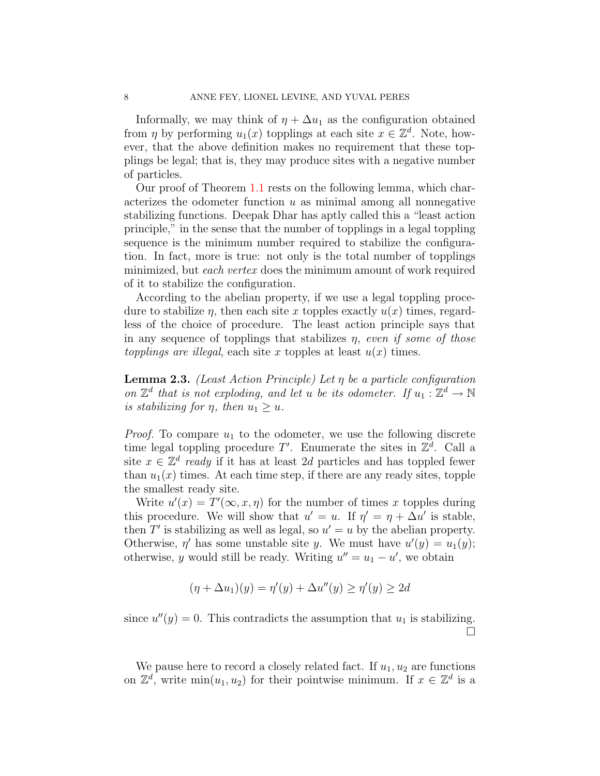Informally, we may think of  $\eta + \Delta u_1$  as the configuration obtained from  $\eta$  by performing  $u_1(x)$  topplings at each site  $x \in \mathbb{Z}^d$ . Note, however, that the above definition makes no requirement that these topplings be legal; that is, they may produce sites with a negative number of particles.

Our proof of Theorem [1.1](#page-3-0) rests on the following lemma, which characterizes the odometer function  $u$  as minimal among all nonnegative stabilizing functions. Deepak Dhar has aptly called this a "least action principle," in the sense that the number of topplings in a legal toppling sequence is the minimum number required to stabilize the configuration. In fact, more is true: not only is the total number of topplings minimized, but each vertex does the minimum amount of work required of it to stabilize the configuration.

According to the abelian property, if we use a legal toppling procedure to stabilize  $\eta$ , then each site x topples exactly  $u(x)$  times, regardless of the choice of procedure. The least action principle says that in any sequence of topplings that stabilizes  $\eta$ , even if some of those topplings are illegal, each site x topples at least  $u(x)$  times.

<span id="page-7-0"></span>Lemma 2.3. (Least Action Principle) Let  $\eta$  be a particle configuration on  $\mathbb{Z}^d$  that is not exploding, and let u be its odometer. If  $u_1 : \mathbb{Z}^d \to \mathbb{N}$ is stabilizing for  $\eta$ , then  $u_1 \geq u$ .

*Proof.* To compare  $u_1$  to the odometer, we use the following discrete time legal toppling procedure  $T'$ . Enumerate the sites in  $\mathbb{Z}^d$ . Call a site  $x \in \mathbb{Z}^d$  ready if it has at least 2d particles and has toppled fewer than  $u_1(x)$  times. At each time step, if there are any ready sites, topple the smallest ready site.

Write  $u'(x) = T'(\infty, x, \eta)$  for the number of times x topples during this procedure. We will show that  $u' = u$ . If  $\eta' = \eta + \Delta u'$  is stable, then  $T'$  is stabilizing as well as legal, so  $u' = u$  by the abelian property. Otherwise,  $\eta'$  has some unstable site y. We must have  $u'(y) = u_1(y)$ ; otherwise, y would still be ready. Writing  $u'' = u_1 - u'$ , we obtain

$$
(\eta + \Delta u_1)(y) = \eta'(y) + \Delta u''(y) \ge \eta'(y) \ge 2d
$$

since  $u''(y) = 0$ . This contradicts the assumption that  $u_1$  is stabilizing.  $\Box$ 

We pause here to record a closely related fact. If  $u_1, u_2$  are functions on  $\mathbb{Z}^d$ , write  $\min(u_1, u_2)$  for their pointwise minimum. If  $x \in \mathbb{Z}^d$  is a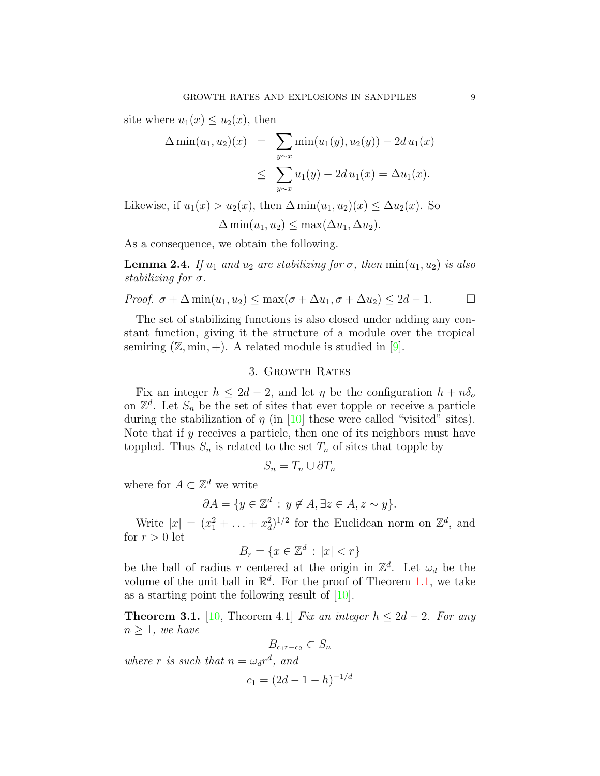site where  $u_1(x) \leq u_2(x)$ , then

$$
\Delta \min(u_1, u_2)(x) = \sum_{y \sim x} \min(u_1(y), u_2(y)) - 2d u_1(x)
$$
  

$$
\leq \sum_{y \sim x} u_1(y) - 2d u_1(x) = \Delta u_1(x).
$$

Likewise, if  $u_1(x) > u_2(x)$ , then  $\Delta \min(u_1, u_2)(x) \leq \Delta u_2(x)$ . So

$$
\Delta \min(u_1, u_2) \leq \max(\Delta u_1, \Delta u_2).
$$

As a consequence, we obtain the following.

<span id="page-8-2"></span>**Lemma 2.4.** If  $u_1$  and  $u_2$  are stabilizing for  $\sigma$ , then  $\min(u_1, u_2)$  is also stabilizing for  $\sigma$ .

*Proof.* 
$$
\sigma + \Delta \min(u_1, u_2) \le \max(\sigma + \Delta u_1, \sigma + \Delta u_2) \le 2d - 1.
$$

The set of stabilizing functions is also closed under adding any constant function, giving it the structure of a module over the tropical semiring  $(\mathbb{Z}, \min, +)$ . A related module is studied in [\[9\]](#page-18-9).

## 3. Growth Rates

<span id="page-8-0"></span>Fix an integer  $h \leq 2d - 2$ , and let  $\eta$  be the configuration  $\overline{h} + n\delta_o$ on  $\mathbb{Z}^d$ . Let  $S_n$  be the set of sites that ever topple or receive a particle during the stabilization of  $\eta$  (in [\[10\]](#page-18-6) these were called "visited" sites). Note that if  $y$  receives a particle, then one of its neighbors must have toppled. Thus  $S_n$  is related to the set  $T_n$  of sites that topple by

$$
S_n = T_n \cup \partial T_n
$$

where for  $A \subset \mathbb{Z}^d$  we write

$$
\partial A = \{ y \in \mathbb{Z}^d : y \notin A, \exists z \in A, z \sim y \}.
$$

Write  $|x| = (x_1^2 + \ldots + x_d^2)^{1/2}$  for the Euclidean norm on  $\mathbb{Z}^d$ , and for  $r > 0$  let

$$
B_r = \{ x \in \mathbb{Z}^d \, : \, |x| < r \}
$$

be the ball of radius r centered at the origin in  $\mathbb{Z}^d$ . Let  $\omega_d$  be the volume of the unit ball in  $\mathbb{R}^d$ . For the proof of Theorem [1.1,](#page-3-0) we take as a starting point the following result of [\[10\]](#page-18-6).

<span id="page-8-1"></span>**Theorem 3.1.** [\[10,](#page-18-6) Theorem 4.1] Fix an integer  $h \leq 2d - 2$ . For any  $n \geq 1$ , we have

 $B_{c_1r-c_2} \subset S_n$ where r is such that  $n = \omega_d r^d$ , and  $c_1 = (2d - 1 - h)^{-1/d}$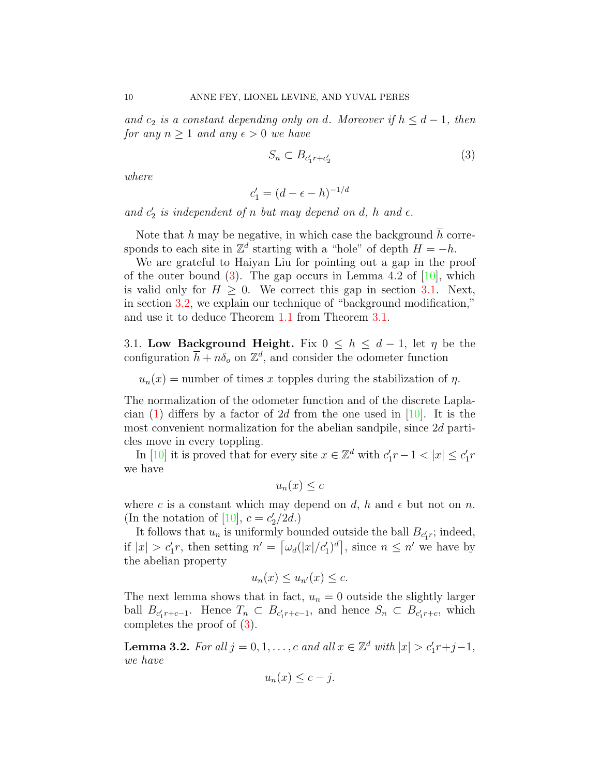and  $c_2$  is a constant depending only on d. Moreover if  $h \leq d-1$ , then for any  $n \geq 1$  and any  $\epsilon > 0$  we have

<span id="page-9-0"></span>
$$
S_n \subset B_{c_1' r + c_2'} \tag{3}
$$

where

$$
c_1'=(d-\epsilon-h)^{-1/d}
$$

and  $c'_2$  is independent of n but may depend on d, h and  $\epsilon$ .

Note that  $h$  may be negative, in which case the background  $h$  corresponds to each site in  $\mathbb{Z}^d$  starting with a "hole" of depth  $H = -h$ .

We are grateful to Haiyan Liu for pointing out a gap in the proof of the outer bound  $(3)$ . The gap occurs in Lemma 4.2 of  $[10]$ , which is valid only for  $H \geq 0$ . We correct this gap in section [3.1.](#page-9-1) Next, in section [3.2,](#page-10-0) we explain our technique of "background modification," and use it to deduce Theorem [1.1](#page-3-0) from Theorem [3.1.](#page-8-1)

<span id="page-9-1"></span>3.1. Low Background Height. Fix  $0 \leq h \leq d-1$ , let  $\eta$  be the configuration  $\overline{h} + n\delta_o$  on  $\mathbb{Z}^d$ , and consider the odometer function

 $u_n(x)$  = number of times x topples during the stabilization of  $\eta$ .

The normalization of the odometer function and of the discrete Laplacian  $(1)$  differs by a factor of 2d from the one used in [\[10\]](#page-18-6). It is the most convenient normalization for the abelian sandpile, since 2d particles move in every toppling.

In [\[10\]](#page-18-6) it is proved that for every site  $x \in \mathbb{Z}^d$  with  $c'_1 r - 1 < |x| \le c'_1 r$ we have

$$
u_n(x) \leq c
$$

where c is a constant which may depend on d, h and  $\epsilon$  but not on n. (In the notation of [\[10\]](#page-18-6),  $c = c_2^{\prime}/2d$ .)

It follows that  $u_n$  is uniformly bounded outside the ball  $B_{c'_1r}$ ; indeed, if  $|x| > c'_1 r$ , then setting  $n' = \left[\omega_d(|x|/c'_1)^d\right]$ , since  $n \leq n'$  we have by the abelian property

$$
u_n(x) \le u_{n'}(x) \le c.
$$

The next lemma shows that in fact,  $u_n = 0$  outside the slightly larger ball  $B_{c'_1r+c-1}$ . Hence  $T_n \subset B_{c'_1r+c-1}$ , and hence  $S_n \subset B_{c'_1r+c}$ , which completes the proof of [\(3\)](#page-9-0).

**Lemma 3.2.** For all  $j = 0, 1, \ldots, c$  and all  $x \in \mathbb{Z}^d$  with  $|x| > c'_1 r + j - 1$ , we have

$$
u_n(x) \le c - j.
$$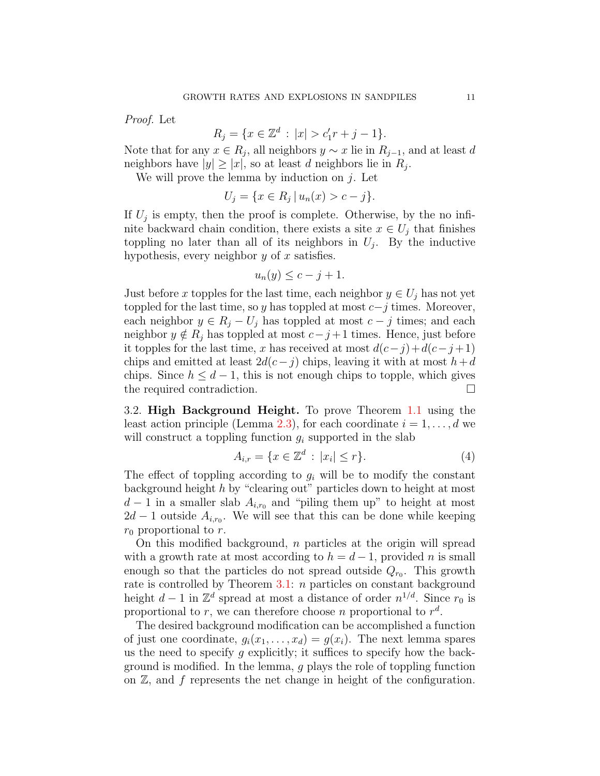Proof. Let

$$
R_j = \{ x \in \mathbb{Z}^d : |x| > c'_1 r + j - 1 \}.
$$

Note that for any  $x \in R_j$ , all neighbors  $y \sim x$  lie in  $R_{j-1}$ , and at least d neighbors have  $|y| \ge |x|$ , so at least d neighbors lie in  $R_j$ .

We will prove the lemma by induction on  $i$ . Let

$$
U_j = \{ x \in R_j \, | \, u_n(x) > c - j \}.
$$

If  $U_j$  is empty, then the proof is complete. Otherwise, by the no infinite backward chain condition, there exists a site  $x \in U_j$  that finishes toppling no later than all of its neighbors in  $U_j$ . By the inductive hypothesis, every neighbor  $y$  of  $x$  satisfies.

$$
u_n(y) \le c - j + 1.
$$

Just before x topples for the last time, each neighbor  $y \in U_j$  has not yet toppled for the last time, so y has toppled at most  $c-j$  times. Moreover, each neighbor  $y \in R_i - U_j$  has toppled at most  $c - j$  times; and each neighbor  $y \notin R_j$  has toppled at most  $c-j+1$  times. Hence, just before it topples for the last time, x has received at most  $d(c-j)+d(c-j+1)$ chips and emitted at least  $2d(c-j)$  chips, leaving it with at most  $h+d$ chips. Since  $h \leq d-1$ , this is not enough chips to topple, which gives the required contradiction.

<span id="page-10-0"></span>3.2. High Background Height. To prove Theorem [1.1](#page-3-0) using the least action principle (Lemma [2.3\)](#page-7-0), for each coordinate  $i = 1, \ldots, d$  we will construct a toppling function  $g_i$  supported in the slab

<span id="page-10-1"></span>
$$
A_{i,r} = \{ x \in \mathbb{Z}^d : |x_i| \le r \}. \tag{4}
$$

The effect of toppling according to  $g_i$  will be to modify the constant background height  $h$  by "clearing out" particles down to height at most  $d-1$  in a smaller slab  $A_{i,r_0}$  and "piling them up" to height at most  $2d-1$  outside  $A_{i,r_0}$ . We will see that this can be done while keeping  $r_0$  proportional to r.

On this modified background,  $n$  particles at the origin will spread with a growth rate at most according to  $h = d - 1$ , provided n is small enough so that the particles do not spread outside  $Q_{r_0}$ . This growth rate is controlled by Theorem  $3.1: n$  $3.1: n$  particles on constant background height  $d-1$  in  $\mathbb{Z}^d$  spread at most a distance of order  $n^{1/d}$ . Since  $r_0$  is proportional to r, we can therefore choose n proportional to  $r^d$ .

The desired background modification can be accomplished a function of just one coordinate,  $g_i(x_1, \ldots, x_d) = g(x_i)$ . The next lemma spares us the need to specify q explicitly; it suffices to specify how the background is modified. In the lemma, g plays the role of toppling function on  $\mathbb{Z}$ , and f represents the net change in height of the configuration.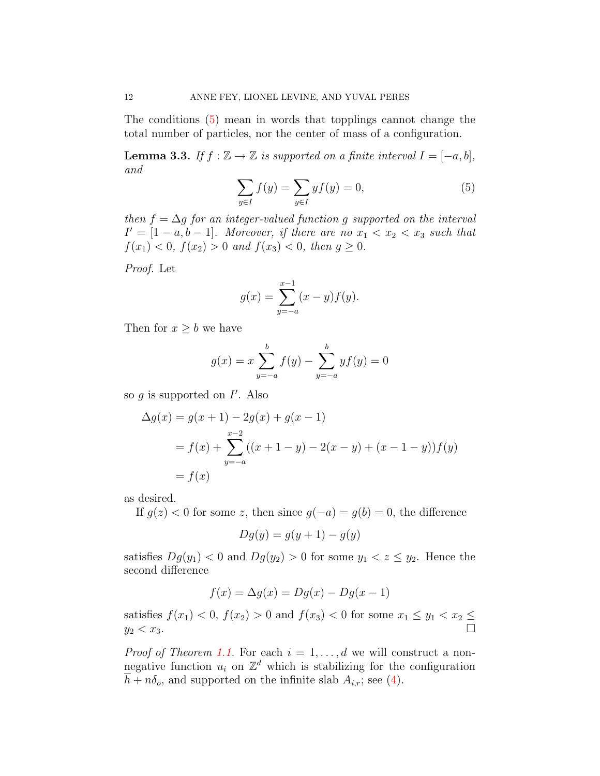The conditions [\(5\)](#page-11-0) mean in words that topplings cannot change the total number of particles, nor the center of mass of a configuration.

<span id="page-11-1"></span>**Lemma 3.3.** If  $f : \mathbb{Z} \to \mathbb{Z}$  is supported on a finite interval  $I = [-a, b]$ , and

<span id="page-11-0"></span>
$$
\sum_{y \in I} f(y) = \sum_{y \in I} y f(y) = 0,\tag{5}
$$

then  $f = \Delta g$  for an integer-valued function g supported on the interval  $I' = [1 - a, b - 1]$ . Moreover, if there are no  $x_1 < x_2 < x_3$  such that  $f(x_1) < 0, f(x_2) > 0$  and  $f(x_3) < 0,$  then  $g \ge 0$ .

Proof. Let

$$
g(x) = \sum_{y=-a}^{x-1} (x - y) f(y).
$$

Then for  $x \geq b$  we have

$$
g(x) = x \sum_{y=-a}^{b} f(y) - \sum_{y=-a}^{b} yf(y) = 0
$$

so  $g$  is supported on  $I'$ . Also

$$
\Delta g(x) = g(x+1) - 2g(x) + g(x-1)
$$
  
=  $f(x) + \sum_{y=-a}^{x-2} ((x+1-y) - 2(x-y) + (x-1-y)) f(y)$   
=  $f(x)$ 

as desired.

If  $g(z) < 0$  for some z, then since  $g(-a) = g(b) = 0$ , the difference

$$
Dg(y) = g(y+1) - g(y)
$$

satisfies  $Dg(y_1) < 0$  and  $Dg(y_2) > 0$  for some  $y_1 < z \le y_2$ . Hence the second difference

$$
f(x) = \Delta g(x) = Dg(x) - Dg(x - 1)
$$

satisfies  $f(x_1) < 0$ ,  $f(x_2) > 0$  and  $f(x_3) < 0$  for some  $x_1 \le y_1 < x_2 \le$  $y_2 < x_3$ .

*Proof of Theorem [1.1.](#page-3-0)* For each  $i = 1, \ldots, d$  we will construct a nonnegative function  $u_i$  on  $\mathbb{Z}^d$  which is stabilizing for the configuration  $\overline{h} + n\delta_o$ , and supported on the infinite slab  $A_{i,r}$ ; see [\(4\)](#page-10-1).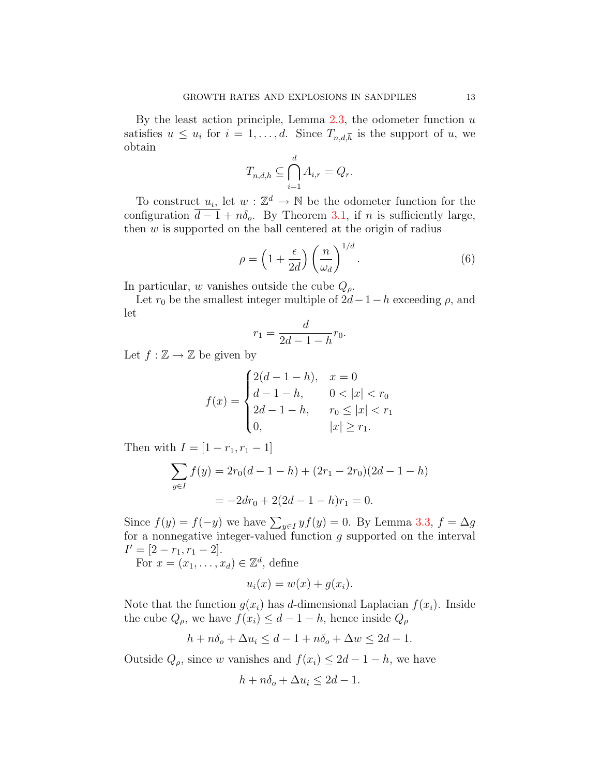By the least action principle, Lemma  $2.3$ , the odometer function  $u$ satisfies  $u \leq u_i$  for  $i = 1, ..., d$ . Since  $T_{n,d,\overline{h}}$  is the support of u, we obtain

$$
T_{n,d,\overline{h}} \subseteq \bigcap_{i=1}^d A_{i,r} = Q_r.
$$

To construct  $u_i$ , let  $w: \mathbb{Z}^d \to \mathbb{N}$  be the odometer function for the configuration  $\overline{d-1} + n\delta_o$ . By Theorem [3.1,](#page-8-1) if n is sufficiently large, then  $w$  is supported on the ball centered at the origin of radius

$$
\rho = \left(1 + \frac{\epsilon}{2d}\right) \left(\frac{n}{\omega_d}\right)^{1/d}.\tag{6}
$$

In particular, w vanishes outside the cube  $Q_{\rho}$ .

Let  $r_0$  be the smallest integer multiple of  $2d-1-h$  exceeding  $\rho$ , and let

$$
r_1 = \frac{d}{2d - 1 - h} r_0.
$$

Let  $f : \mathbb{Z} \to \mathbb{Z}$  be given by

$$
f(x) = \begin{cases} 2(d-1-h), & x = 0\\ d-1-h, & 0 < |x| < r_0\\ 2d-1-h, & r_0 \le |x| < r_1\\ 0, & |x| \ge r_1. \end{cases}
$$

Then with  $I = [1 - r_1, r_1 - 1]$ 

$$
\sum_{y \in I} f(y) = 2r_0(d - 1 - h) + (2r_1 - 2r_0)(2d - 1 - h)
$$

$$
= -2dr_0 + 2(2d - 1 - h)r_1 = 0.
$$

Since  $f(y) = f(-y)$  we have  $\sum_{y \in I} y f(y) = 0$ . By Lemma [3.3,](#page-11-1)  $f = \Delta g$ for a nonnegative integer-valued function  $g$  supported on the interval  $I' = [2 - r_1, r_1 - 2].$ 

For  $x = (x_1, \ldots, x_d) \in \mathbb{Z}^d$ , define

$$
u_i(x) = w(x) + g(x_i).
$$

Note that the function  $g(x_i)$  has d-dimensional Laplacian  $f(x_i)$ . Inside the cube  $Q_{\rho}$ , we have  $f(x_i) \leq d - 1 - h$ , hence inside  $Q_{\rho}$ 

$$
h + n\delta_o + \Delta u_i \le d - 1 + n\delta_o + \Delta w \le 2d - 1.
$$

Outside  $Q_{\rho}$ , since w vanishes and  $f(x_i) \leq 2d - 1 - h$ , we have

$$
h + n\delta_o + \Delta u_i \le 2d - 1.
$$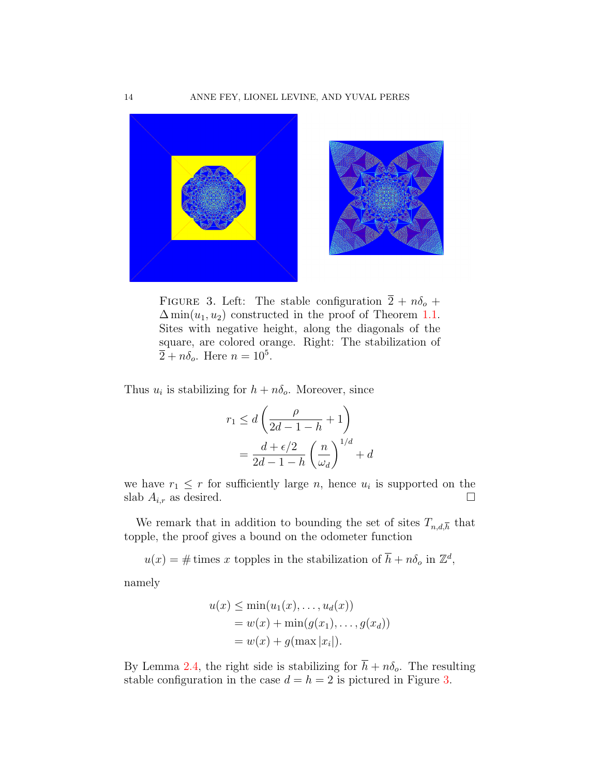

FIGURE 3. Left: The stable configuration  $\overline{2} + n\delta_o +$  $\Delta \min(u_1, u_2)$  constructed in the proof of Theorem [1.1.](#page-3-0) Sites with negative height, along the diagonals of the square, are colored orange. Right: The stabilization of  $\overline{2} + n\delta_o$ . Here  $n = 10^5$ .

Thus  $u_i$  is stabilizing for  $h + n\delta_o$ . Moreover, since

<span id="page-13-0"></span>
$$
r_1 \le d\left(\frac{\rho}{2d - 1 - h} + 1\right)
$$
  
= 
$$
\frac{d + \epsilon/2}{2d - 1 - h} \left(\frac{n}{\omega_d}\right)^{1/d} + d
$$

we have  $r_1 \leq r$  for sufficiently large n, hence  $u_i$  is supported on the slab  $A_{i,r}$  as desired.

We remark that in addition to bounding the set of sites  $T_{n,d,\overline{h}}$  that topple, the proof gives a bound on the odometer function

 $u(x) = \text{\# times } x$  topples in the stabilization of  $\overline{h} + n\delta_o$  in  $\mathbb{Z}^d$ ,

namely

$$
u(x) \le \min(u_1(x), \dots, u_d(x))
$$
  
=  $w(x) + \min(g(x_1), \dots, g(x_d))$   
=  $w(x) + g(\max |x_i|)$ .

By Lemma [2.4,](#page-8-2) the right side is stabilizing for  $\bar{h} + n\delta_o$ . The resulting stable configuration in the case  $d = h = 2$  is pictured in Figure [3.](#page-13-0)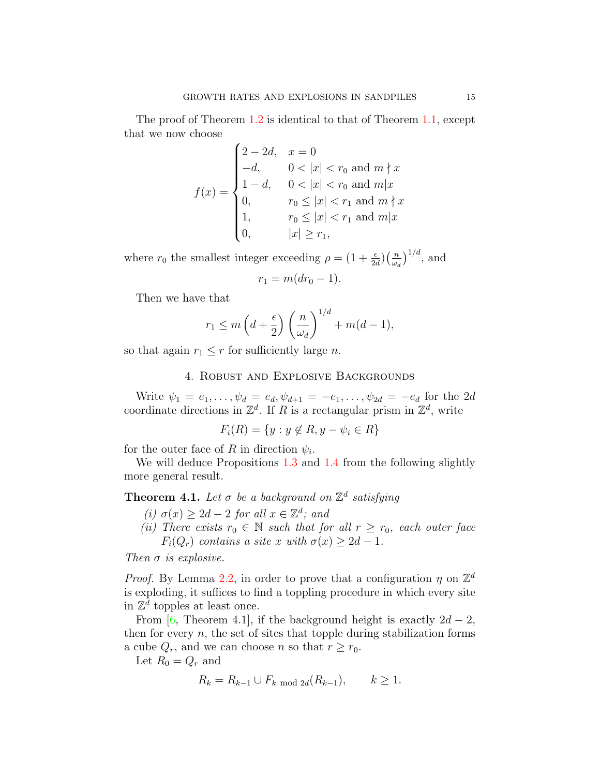The proof of Theorem [1.2](#page-3-1) is identical to that of Theorem [1.1,](#page-3-0) except that we now choose

$$
f(x) = \begin{cases} 2 - 2d, & x = 0 \\ -d, & 0 < |x| < r_0 \text{ and } m \nmid x \\ 1 - d, & 0 < |x| < r_0 \text{ and } m | x \\ 0, & r_0 \le |x| < r_1 \text{ and } m \nmid x \\ 1, & r_0 \le |x| < r_1 \text{ and } m | x \\ 0, & |x| \ge r_1, \end{cases}
$$

where  $r_0$  the smallest integer exceeding  $\rho = \left(1 + \frac{\epsilon}{2d}\right) \left(\frac{n}{\omega_c}\right)$  $\left(\frac{n}{\omega_d}\right)^{1/d}$ , and

$$
r_1 = m(dr_0 - 1).
$$

Then we have that

$$
r_1 \le m\left(d + \frac{\epsilon}{2}\right) \left(\frac{n}{\omega_d}\right)^{1/d} + m(d-1),
$$

so that again  $r_1 \leq r$  for sufficiently large *n*.

### 4. Robust and Explosive Backgrounds

Write  $\psi_1 = e_1, \dots, \psi_d = e_d, \psi_{d+1} = -e_1, \dots, \psi_{2d} = -e_d$  for the 2d coordinate directions in  $\mathbb{Z}^d$ . If R is a rectangular prism in  $\mathbb{Z}^d$ , write

$$
F_i(R) = \{ y : y \notin R, y - \psi_i \in R \}
$$

for the outer face of R in direction  $\psi_i$ .

We will deduce Propositions [1.3](#page-4-1) and [1.4](#page-4-2) from the following slightly more general result.

# <span id="page-14-0"></span>**Theorem 4.1.** Let  $\sigma$  be a background on  $\mathbb{Z}^d$  satisfying

- (i)  $\sigma(x) \geq 2d 2$  for all  $x \in \mathbb{Z}^d$ ; and
- (ii) There exists  $r_0 \in \mathbb{N}$  such that for all  $r \geq r_0$ , each outer face  $F_i(Q_r)$  contains a site x with  $\sigma(x) \geq 2d-1$ .

Then  $\sigma$  is explosive.

*Proof.* By Lemma [2.2,](#page-6-1) in order to prove that a configuration  $\eta$  on  $\mathbb{Z}^d$ is exploding, it suffices to find a toppling procedure in which every site in  $\mathbb{Z}^{\bar{d}}$  topples at least once.

From [\[6,](#page-18-5) Theorem 4.1], if the background height is exactly  $2d - 2$ , then for every  $n$ , the set of sites that topple during stabilization forms a cube  $Q_r$ , and we can choose n so that  $r \ge r_0$ .

Let  $R_0 = Q_r$  and

$$
R_k = R_{k-1} \cup F_{k \text{ mod } 2d}(R_{k-1}), \qquad k \ge 1.
$$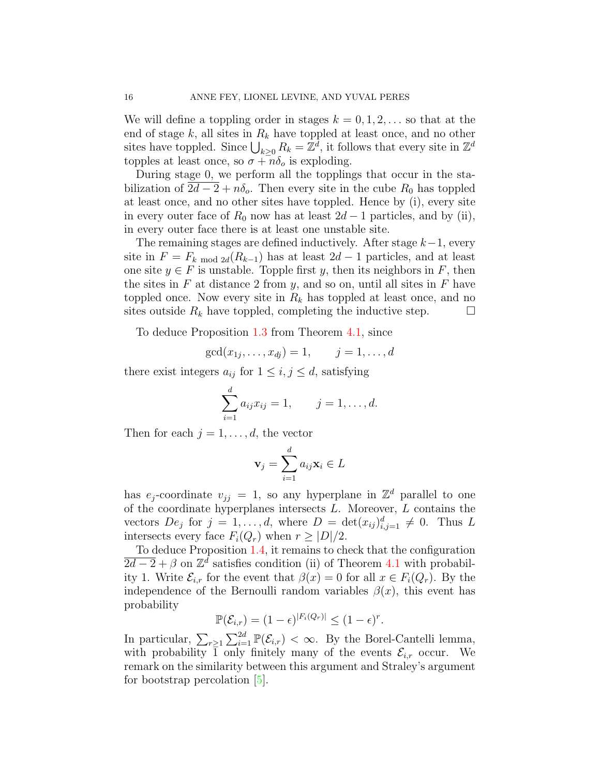We will define a toppling order in stages  $k = 0, 1, 2, \ldots$  so that at the end of stage  $k$ , all sites in  $R_k$  have toppled at least once, and no other sites have toppled. Since  $\bigcup_{k\geq 0} R_k = \mathbb{Z}^{\bar{d}}$ , it follows that every site in  $\mathbb{Z}^d$ topples at least once, so  $\sigma + n\delta_o$  is exploding.

During stage 0, we perform all the topplings that occur in the stabilization of  $2d - 2 + n\delta_o$ . Then every site in the cube  $R_0$  has toppled at least once, and no other sites have toppled. Hence by (i), every site in every outer face of  $R_0$  now has at least  $2d-1$  particles, and by (ii), in every outer face there is at least one unstable site.

The remaining stages are defined inductively. After stage  $k-1$ , every site in  $F = F_k \mod 2d(R_{k-1})$  has at least  $2d-1$  particles, and at least one site  $y \in F$  is unstable. Topple first y, then its neighbors in F, then the sites in  $F$  at distance 2 from  $y$ , and so on, until all sites in  $F$  have toppled once. Now every site in  $R_k$  has toppled at least once, and no sites outside  $R_k$  have toppled, completing the inductive step.  $\Box$ 

To deduce Proposition [1.3](#page-4-1) from Theorem [4.1,](#page-14-0) since

$$
gcd(x_{1j},...,x_{dj}) = 1, \t j = 1,...,d
$$

there exist integers  $a_{ij}$  for  $1 \leq i, j \leq d$ , satisfying

$$
\sum_{i=1}^{d} a_{ij} x_{ij} = 1, \qquad j = 1, \dots, d.
$$

Then for each  $j = 1, \ldots, d$ , the vector

$$
\mathbf{v}_j = \sum_{i=1}^d a_{ij} \mathbf{x}_i \in L
$$

has  $e_j$ -coordinate  $v_{jj} = 1$ , so any hyperplane in  $\mathbb{Z}^d$  parallel to one of the coordinate hyperplanes intersects  $L$ . Moreover,  $L$  contains the vectors  $De_j$  for  $j = 1, ..., d$ , where  $D = \det(x_{ij})_{i,j=1}^d \neq 0$ . Thus L intersects every face  $F_i(Q_r)$  when  $r \geq |D|/2$ .

To deduce Proposition [1.4,](#page-4-2) it remains to check that the configuration  $\overline{2d-2} + \beta$  on  $\mathbb{Z}^d$  satisfies condition (ii) of Theorem [4.1](#page-14-0) with probability 1. Write  $\mathcal{E}_{i,r}$  for the event that  $\beta(x) = 0$  for all  $x \in F_i(Q_r)$ . By the independence of the Bernoulli random variables  $\beta(x)$ , this event has probability

$$
\mathbb{P}(\mathcal{E}_{i,r}) = (1-\epsilon)^{|F_i(Q_r)|} \leq (1-\epsilon)^r.
$$

In particular,  $\sum_{r\geq 1} \sum_{i=1}^{2d} \mathbb{P}(\mathcal{E}_{i,r}) < \infty$ . By the Borel-Cantelli lemma, with probability  $\bar{1}$  only finitely many of the events  $\mathcal{E}_{i,r}$  occur. We remark on the similarity between this argument and Straley's argument for bootstrap percolation [\[5\]](#page-18-10).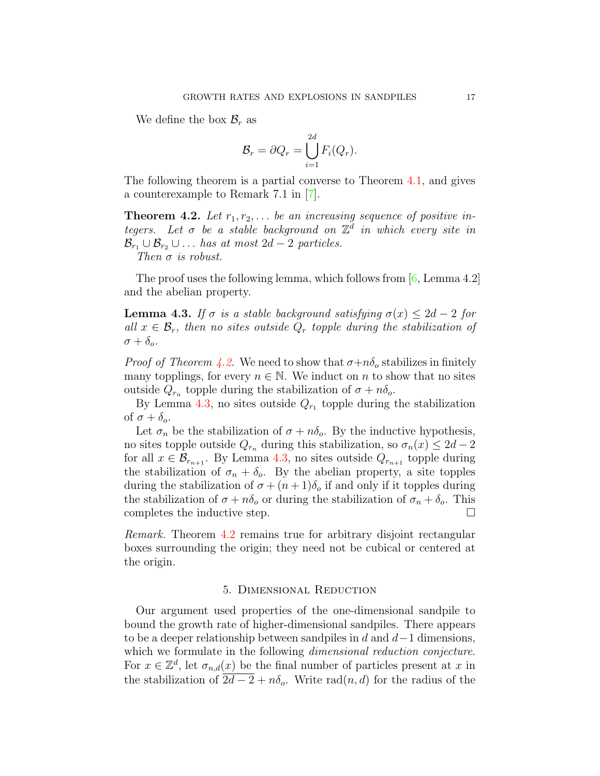We define the box  $\mathcal{B}_r$  as

$$
\mathcal{B}_r = \partial Q_r = \bigcup_{i=1}^{2d} F_i(Q_r).
$$

The following theorem is a partial converse to Theorem [4.1,](#page-14-0) and gives a counterexample to Remark 7.1 in [\[7\]](#page-18-4).

<span id="page-16-0"></span>**Theorem 4.2.** Let  $r_1, r_2, \ldots$  be an increasing sequence of positive integers. Let  $\sigma$  be a stable background on  $\mathbb{Z}^d$  in which every site in  $\mathcal{B}_{r_1} \cup \mathcal{B}_{r_2} \cup \ldots$  has at most 2d – 2 particles. Then  $\sigma$  is robust.

The proof uses the following lemma, which follows from  $[6, \text{Lemma 4.2}]$  $[6, \text{Lemma 4.2}]$ and the abelian property.

<span id="page-16-1"></span>**Lemma 4.3.** If  $\sigma$  is a stable background satisfying  $\sigma(x) \leq 2d - 2$  for all  $x \in \mathcal{B}_r$ , then no sites outside  $Q_r$  topple during the stabilization of  $\sigma + \delta_{\alpha}$ .

*Proof of Theorem [4.2.](#page-16-0)* We need to show that  $\sigma + n\delta_o$  stabilizes in finitely many topplings, for every  $n \in \mathbb{N}$ . We induct on n to show that no sites outside  $Q_{r_n}$  topple during the stabilization of  $\sigma + n\delta_o$ .

By Lemma [4.3,](#page-16-1) no sites outside  $Q_{r_1}$  topple during the stabilization of  $\sigma + \delta_o$ .

Let  $\sigma_n$  be the stabilization of  $\sigma + n\delta_o$ . By the inductive hypothesis, no sites topple outside  $Q_{r_n}$  during this stabilization, so  $\sigma_n(x) \leq 2d - 2$ for all  $x \in \mathcal{B}_{r_{n+1}}$ . By Lemma [4.3,](#page-16-1) no sites outside  $Q_{r_{n+1}}$  topple during the stabilization of  $\sigma_n + \delta_o$ . By the abelian property, a site topples during the stabilization of  $\sigma + (n+1)\delta_o$  if and only if it topples during the stabilization of  $\sigma + n\delta_o$  or during the stabilization of  $\sigma_n + \delta_o$ . This completes the inductive step.  $\Box$ 

Remark. Theorem [4.2](#page-16-0) remains true for arbitrary disjoint rectangular boxes surrounding the origin; they need not be cubical or centered at the origin.

#### 5. Dimensional Reduction

Our argument used properties of the one-dimensional sandpile to bound the growth rate of higher-dimensional sandpiles. There appears to be a deeper relationship between sandpiles in d and  $d-1$  dimensions, which we formulate in the following *dimensional reduction conjecture*. For  $x \in \mathbb{Z}^d$ , let  $\sigma_{n,d}(x)$  be the final number of particles present at x in the stabilization of  $2d-2 + n\delta_o$ . Write rad $(n, d)$  for the radius of the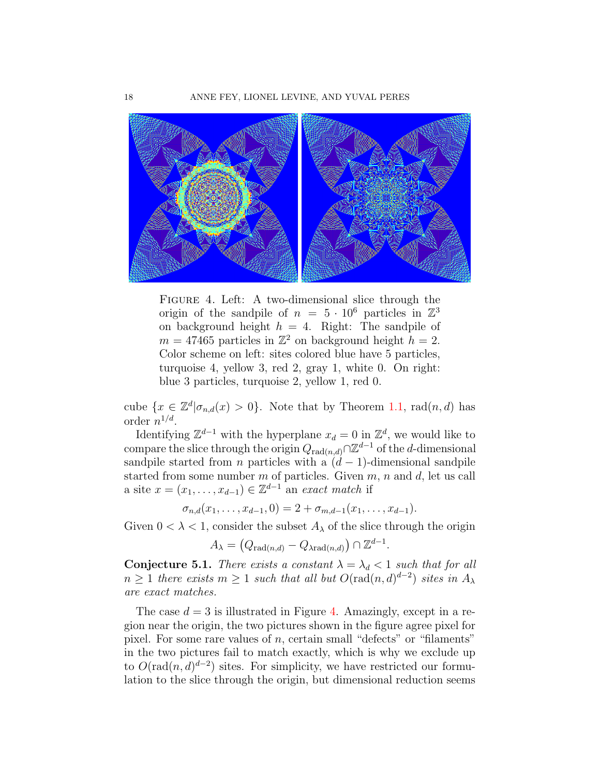

<span id="page-17-0"></span>Figure 4. Left: A two-dimensional slice through the origin of the sandpile of  $n = 5 \cdot 10^6$  particles in  $\mathbb{Z}^3$ on background height  $h = 4$ . Right: The sandpile of  $m = 47465$  particles in  $\mathbb{Z}^2$  on background height  $h = 2$ . Color scheme on left: sites colored blue have 5 particles, turquoise 4, yellow 3, red 2, gray 1, white 0. On right: blue 3 particles, turquoise 2, yellow 1, red 0.

cube  $\{x \in \mathbb{Z}^d | \sigma_{n,d}(x) > 0\}$ . Note that by Theorem [1.1,](#page-3-0) rad $(n,d)$  has order  $n^{1/d}$ .

Identifying  $\mathbb{Z}^{d-1}$  with the hyperplane  $x_d = 0$  in  $\mathbb{Z}^d$ , we would like to compare the slice through the origin  $Q_{rad(n,d)} \cap \mathbb{Z}^{d-1}$  of the d-dimensional sandpile started from *n* particles with a  $(d - 1)$ -dimensional sandpile started from some number  $m$  of particles. Given  $m$ ,  $n$  and  $d$ , let us call a site  $x = (x_1, \ldots, x_{d-1}) \in \mathbb{Z}^{d-1}$  an exact match if

$$
\sigma_{n,d}(x_1,\ldots,x_{d-1},0)=2+\sigma_{m,d-1}(x_1,\ldots,x_{d-1}).
$$

Given  $0 < \lambda < 1$ , consider the subset  $A_{\lambda}$  of the slice through the origin

$$
A_{\lambda} = (Q_{\text{rad}(n,d)} - Q_{\lambda \text{rad}(n,d)}) \cap \mathbb{Z}^{d-1}.
$$

Conjecture 5.1. There exists a constant  $\lambda = \lambda_d < 1$  such that for all  $n \geq 1$  there exists  $m \geq 1$  such that all but  $O(\text{rad}(n,d)^{d-2})$  sites in  $A_{\lambda}$ are exact matches.

The case  $d = 3$  is illustrated in Figure [4.](#page-17-0) Amazingly, except in a region near the origin, the two pictures shown in the figure agree pixel for pixel. For some rare values of  $n$ , certain small "defects" or "filaments" in the two pictures fail to match exactly, which is why we exclude up to  $O(\text{rad}(n, d)^{d-2})$  sites. For simplicity, we have restricted our formulation to the slice through the origin, but dimensional reduction seems